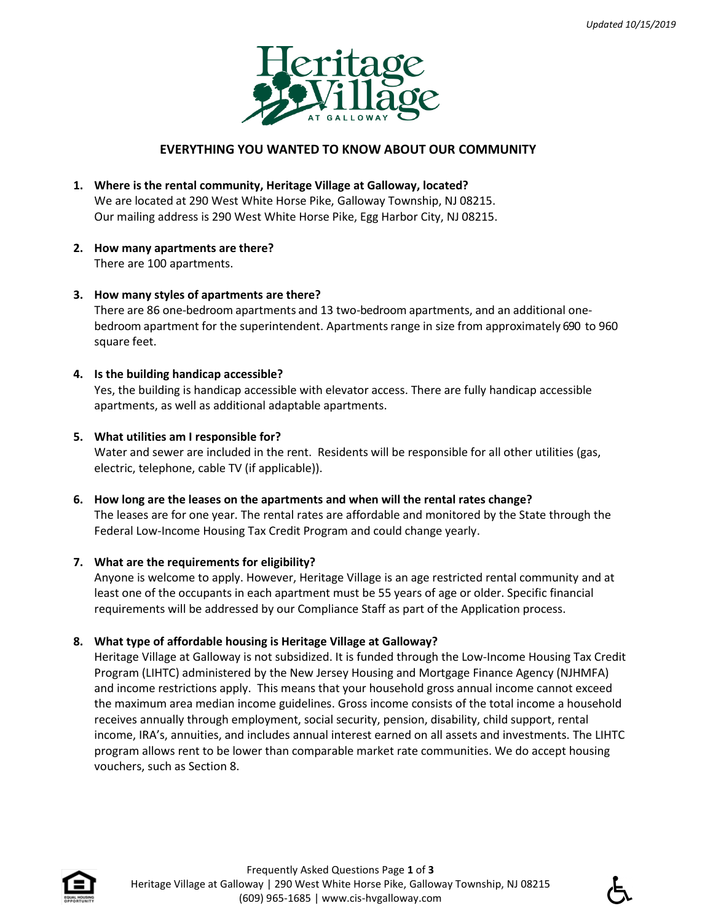

# **EVERYTHING YOU WANTED TO KNOW ABOUT OUR COMMUNITY**

- **1. Where is the rental community, Heritage Village at Galloway, located?**  We are located at 290 West White Horse Pike, Galloway Township, NJ 08215. Our mailing address is 290 West White Horse Pike, Egg Harbor City, NJ 08215.
- **2. How many apartments are there?** There are 100 apartments.

## **3. How many styles of apartments are there?**

There are 86 one-bedroom apartments and 13 two-bedroom apartments, and an additional onebedroom apartment for the superintendent. Apartments range in size from approximately 690 to 960 square feet.

## **4. Is the building handicap accessible?**

Yes, the building is handicap accessible with elevator access. There are fully handicap accessible apartments, as well as additional adaptable apartments.

## **5. What utilities am I responsible for?**

Water and sewer are included in the rent. Residents will be responsible for all other utilities (gas, electric, telephone, cable TV (if applicable)).

**6. How long are the leases on the apartments and when will the rental rates change?** The leases are for one year. The rental rates are affordable and monitored by the State through the Federal Low-Income Housing Tax Credit Program and could change yearly.

## **7. What are the requirements for eligibility?**

Anyone is welcome to apply. However, Heritage Village is an age restricted rental community and at least one of the occupants in each apartment must be 55 years of age or older. Specific financial requirements will be addressed by our Compliance Staff as part of the Application process.

## **8. What type of affordable housing is Heritage Village at Galloway?**

Heritage Village at Galloway is not subsidized. It is funded through the Low-Income Housing Tax Credit Program (LIHTC) administered by the New Jersey Housing and Mortgage Finance Agency (NJHMFA) and income restrictions apply. This means that your household gross annual income cannot exceed the maximum area median income guidelines. Gross income consists of the total income a household receives annually through employment, social security, pension, disability, child support, rental income, IRA's, annuities, and includes annual interest earned on all assets and investments. The LIHTC program allows rent to be lower than comparable market rate communities. We do accept housing vouchers, such as Section 8.



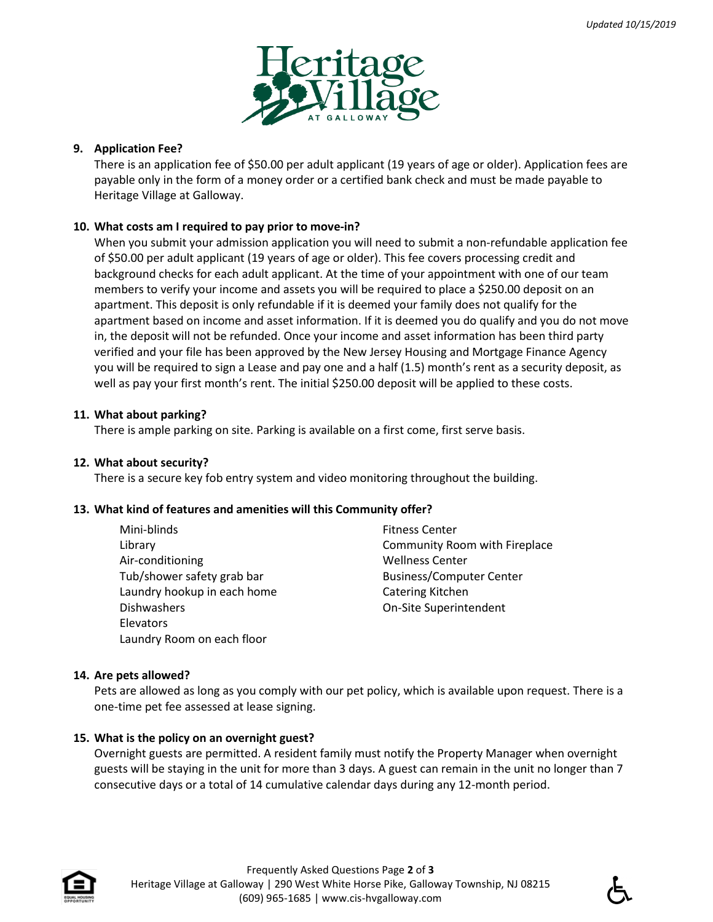

## **9. Application Fee?**

There is an application fee of \$50.00 per adult applicant (19 years of age or older). Application fees are payable only in the form of a money order or a certified bank check and must be made payable to Heritage Village at Galloway.

## **10. What costs am I required to pay prior to move-in?**

When you submit your admission application you will need to submit a non-refundable application fee of \$50.00 per adult applicant (19 years of age or older). This fee covers processing credit and background checks for each adult applicant. At the time of your appointment with one of our team members to verify your income and assets you will be required to place a \$250.00 deposit on an apartment. This deposit is only refundable if it is deemed your family does not qualify for the apartment based on income and asset information. If it is deemed you do qualify and you do not move in, the deposit will not be refunded. Once your income and asset information has been third party verified and your file has been approved by the New Jersey Housing and Mortgage Finance Agency you will be required to sign a Lease and pay one and a half (1.5) month's rent as a security deposit, as well as pay your first month's rent. The initial \$250.00 deposit will be applied to these costs.

#### **11. What about parking?**

There is ample parking on site. Parking is available on a first come, first serve basis.

## **12. What about security?**

There is a secure key fob entry system and video monitoring throughout the building.

## **13. What kind of features and amenities will this Community offer?**

Mini-blinds Library Air-conditioning Tub/shower safety grab bar Laundry hookup in each home **Dishwashers** Elevators Laundry Room on each floor Fitness Center Community Room with Fireplace Wellness Center Business/Computer Center Catering Kitchen On-Site Superintendent

## **14. Are pets allowed?**

Pets are allowed as long as you comply with our pet policy, which is available upon request. There is a one-time pet fee assessed at lease signing.

## **15. What is the policy on an overnight guest?**

Overnight guests are permitted. A resident family must notify the Property Manager when overnight guests will be staying in the unit for more than 3 days. A guest can remain in the unit no longer than 7 consecutive days or a total of 14 cumulative calendar days during any 12-month period.